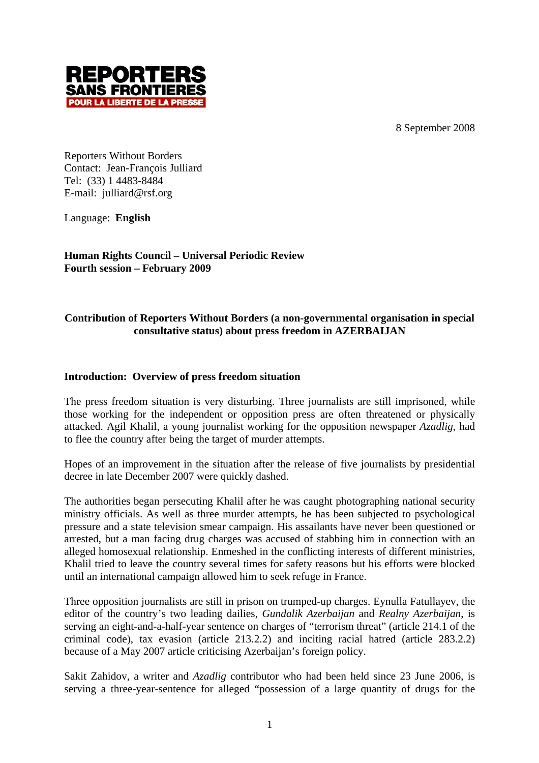8 September 2008



Reporters Without Borders Contact: Jean-François Julliard Tel: (33) 1 4483-8484 E-mail: julliard@rsf.org

Language: **English**

**Human Rights Council – Universal Periodic Review Fourth session – February 2009**

# **Contribution of Reporters Without Borders (a non-governmental organisation in special consultative status) about press freedom in AZERBAIJAN**

# **Introduction: Overview of press freedom situation**

The press freedom situation is very disturbing. Three journalists are still imprisoned, while those working for the independent or opposition press are often threatened or physically attacked. Agil Khalil, a young journalist working for the opposition newspaper *Azadlig*, had to flee the country after being the target of murder attempts.

Hopes of an improvement in the situation after the release of five journalists by presidential decree in late December 2007 were quickly dashed.

The authorities began persecuting Khalil after he was caught photographing national security ministry officials. As well as three murder attempts, he has been subjected to psychological pressure and a state television smear campaign. His assailants have never been questioned or arrested, but a man facing drug charges was accused of stabbing him in connection with an alleged homosexual relationship. Enmeshed in the conflicting interests of different ministries, Khalil tried to leave the country several times for safety reasons but his efforts were blocked until an international campaign allowed him to seek refuge in France.

Three opposition journalists are still in prison on trumped-up charges. Eynulla Fatullayev, the editor of the country's two leading dailies, *Gundalik Azerbaijan* and *Realny Azerbaijan*, is serving an eight-and-a-half-year sentence on charges of "terrorism threat" (article 214.1 of the criminal code), tax evasion (article 213.2.2) and inciting racial hatred (article 283.2.2) because of a May 2007 article criticising Azerbaijan's foreign policy.

Sakit Zahidov, a writer and *Azadlig* contributor who had been held since 23 June 2006, is serving a three-year-sentence for alleged "possession of a large quantity of drugs for the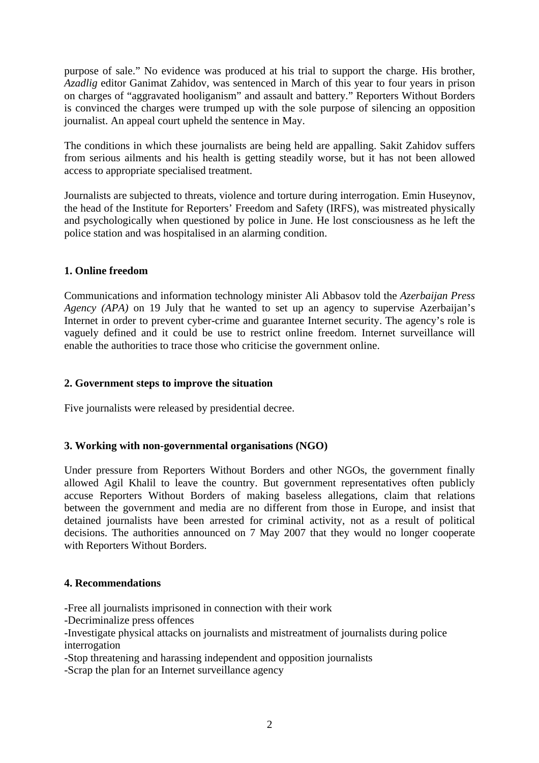purpose of sale." No evidence was produced at his trial to support the charge. His brother, *Azadlig* editor Ganimat Zahidov, was sentenced in March of this year to four years in prison on charges of "aggravated hooliganism" and assault and battery." Reporters Without Borders is convinced the charges were trumped up with the sole purpose of silencing an opposition journalist. An appeal court upheld the sentence in May.

The conditions in which these journalists are being held are appalling. Sakit Zahidov suffers from serious ailments and his health is getting steadily worse, but it has not been allowed access to appropriate specialised treatment.

Journalists are subjected to threats, violence and torture during interrogation. Emin Huseynov, the head of the Institute for Reporters' Freedom and Safety (IRFS), was mistreated physically and psychologically when questioned by police in June. He lost consciousness as he left the police station and was hospitalised in an alarming condition.

## **1. Online freedom**

Communications and information technology minister Ali Abbasov told the *Azerbaijan Press Agency (APA)* on 19 July that he wanted to set up an agency to supervise Azerbaijan's Internet in order to prevent cyber-crime and guarantee Internet security. The agency's role is vaguely defined and it could be use to restrict online freedom. Internet surveillance will enable the authorities to trace those who criticise the government online.

### **2. Government steps to improve the situation**

Five journalists were released by presidential decree.

# **3. Working with non-governmental organisations (NGO)**

Under pressure from Reporters Without Borders and other NGOs, the government finally allowed Agil Khalil to leave the country. But government representatives often publicly accuse Reporters Without Borders of making baseless allegations, claim that relations between the government and media are no different from those in Europe, and insist that detained journalists have been arrested for criminal activity, not as a result of political decisions. The authorities announced on 7 May 2007 that they would no longer cooperate with Reporters Without Borders.

### **4. Recommendations**

-Free all journalists imprisoned in connection with their work

-Decriminalize press offences

-Investigate physical attacks on journalists and mistreatment of journalists during police interrogation

-Stop threatening and harassing independent and opposition journalists

-Scrap the plan for an Internet surveillance agency